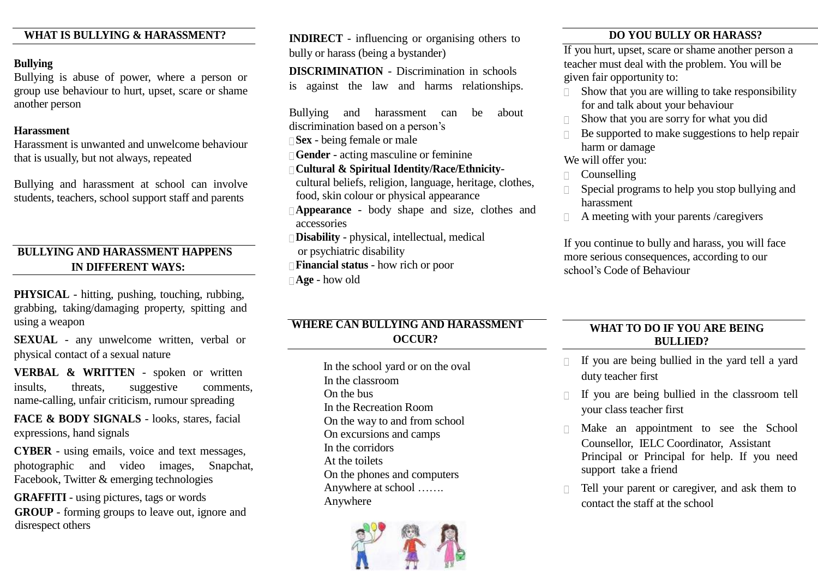#### **WHAT IS BULLYING & HARASSMENT?**

#### **Bullying**

Bullying is abuse of power, where a person or group use behaviour to hurt, upset, scare or shame another person

#### **Harassment**

Harassment is unwanted and unwelcome behaviour that is usually, but not always, repeated

Bullying and harassment at school can involve students, teachers, school support staff and parents

#### **BULLYING AND HARASSMENT HAPPENS IN DIFFERENT WAYS:**

**PHYSICAL** - hitting, pushing, touching, rubbing, grabbing, taking/damaging property, spitting and using a weapon

**SEXUAL** - any unwelcome written, verbal or physical contact of a sexual nature

**VERBAL & WRITTEN** - spoken or written insults, threats, suggestive comments, name-calling, unfair criticism, rumour spreading

**FACE & BODY SIGNALS** - looks, stares, facial expressions, hand signals

**CYBER** - using emails, voice and text messages, photographic and video images, Snapchat, Facebook, Twitter & emerging technologies

**GRAFFITI** - using pictures, tags or words **GROUP** - forming groups to leave out, ignore and disrespect others

**INDIRECT** - influencing or organising others to bully or harass (being a bystander)

**DISCRIMINATION** - Discrimination in schools is against the law and harms relationships.

Bullying and harassment can be about discrimination based on a person's

**Sex** - being female or male

**Gender** - acting masculine or feminine

 **Cultural & Spiritual Identity/Race/Ethnicity**cultural beliefs, religion, language, heritage, clothes, food, skin colour or physical appearance

- **Appearance** body shape and size, clothes and accessories
- **Disability** physical, intellectual, medical
- or psychiatric disability
- **Financial status** how rich or poor
- **Age** how old

#### **WHERE CAN BULLYING AND HARASSMENT OCCUR?**

In the school yard or on the oval In the classroom On the bus In the Recreation Room On the way to and from school On excursions and camps In the corridors At the toilets On the phones and computers Anywhere at school ……. Anywhere



#### **DO YOU BULLY OR HARASS?**

If you hurt, upset, scare or shame another person a teacher must deal with the problem. You will be given fair opportunity to:

- $\Box$  Show that you are willing to take responsibility for and talk about your behaviour
- Show that you are sorry for what you did
- Be supported to make suggestions to help repair harm or damage

We will offer you:

- $\Box$  Counselling
- Special programs to help you stop bullying and harassment
- $\Box$  A meeting with your parents /caregivers

If you continue to bully and harass, you will face more serious consequences, according to our school's Code of Behaviour

#### **WHAT TO DO IF YOU ARE BEING BULLIED?**

- $\Box$  If you are being bullied in the yard tell a yard duty teacher first
- If you are being bullied in the classroom tell your class teacher first
- Make an appointment to see the School Counsellor, IELC Coordinator, Assistant Principal or Principal for help. If you need support take a friend
- Tell your parent or caregiver, and ask them to contact the staff at the school